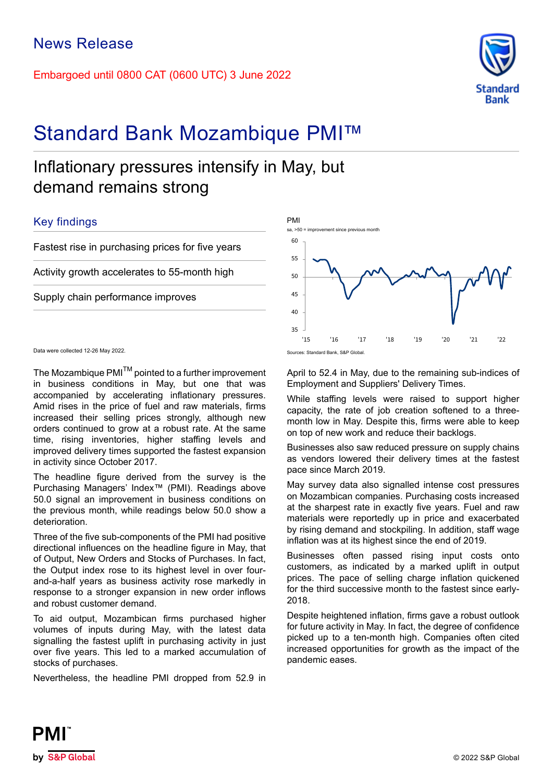Embargoed until 0800 CAT (0600 UTC) 3 June 2022



# Standard Bank Mozambique PMI™

## Inflationary pressures intensify in May, but demand remains strong

## Key findings

Fastest rise in purchasing prices for five years

Activity growth accelerates to 55-month high

Supply chain performance improves



Data were collected 12-26 May 2022.

The Mozambique PMI<sup>™</sup> pointed to a further improvement in business conditions in May, but one that was accompanied by accelerating inflationary pressures. Amid rises in the price of fuel and raw materials, firms increased their selling prices strongly, although new orders continued to grow at a robust rate. At the same time, rising inventories, higher staffing levels and improved delivery times supported the fastest expansion in activity since October 2017.

The headline figure derived from the survey is the Purchasing Managers' Index™ (PMI). Readings above 50.0 signal an improvement in business conditions on the previous month, while readings below 50.0 show a deterioration.

Three of the five sub-components of the PMI had positive directional influences on the headline figure in May, that of Output, New Orders and Stocks of Purchases. In fact, the Output index rose to its highest level in over fourand-a-half years as business activity rose markedly in response to a stronger expansion in new order inflows and robust customer demand.

To aid output, Mozambican firms purchased higher volumes of inputs during May, with the latest data signalling the fastest uplift in purchasing activity in just over five years. This led to a marked accumulation of stocks of purchases.

Nevertheless, the headline PMI dropped from 52.9 in

April to 52.4 in May, due to the remaining sub-indices of Employment and Suppliers' Delivery Times.

While staffing levels were raised to support higher capacity, the rate of job creation softened to a threemonth low in May. Despite this, firms were able to keep on top of new work and reduce their backlogs.

Businesses also saw reduced pressure on supply chains as vendors lowered their delivery times at the fastest pace since March 2019.

May survey data also signalled intense cost pressures on Mozambican companies. Purchasing costs increased at the sharpest rate in exactly five years. Fuel and raw materials were reportedly up in price and exacerbated by rising demand and stockpiling. In addition, staff wage inflation was at its highest since the end of 2019.

Businesses often passed rising input costs onto customers, as indicated by a marked uplift in output prices. The pace of selling charge inflation quickened for the third successive month to the fastest since early-2018.

Despite heightened inflation, firms gave a robust outlook for future activity in May. In fact, the degree of confidence picked up to a ten-month high. Companies often cited increased opportunities for growth as the impact of the pandemic eases.